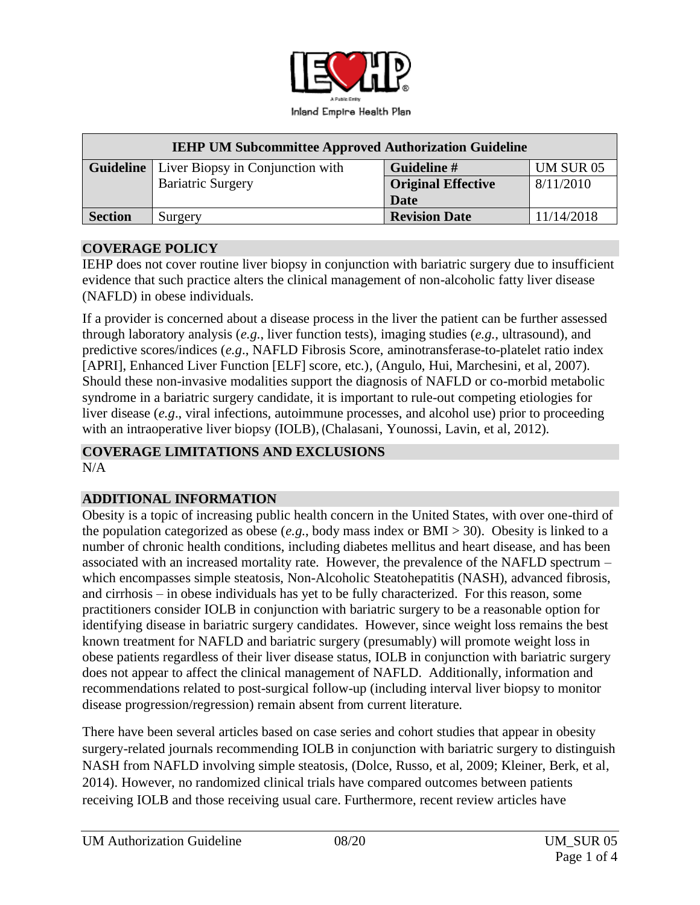

| <b>IEHP UM Subcommittee Approved Authorization Guideline</b> |                                                     |                           |            |
|--------------------------------------------------------------|-----------------------------------------------------|---------------------------|------------|
|                                                              | <b>Guideline</b>   Liver Biopsy in Conjunction with | Guideline #               | UM SUR 05  |
|                                                              | <b>Bariatric Surgery</b>                            | <b>Original Effective</b> | 8/11/2010  |
|                                                              |                                                     | Date                      |            |
| <b>Section</b>                                               | Surgery                                             | <b>Revision Date</b>      | 11/14/2018 |

#### **COVERAGE POLICY**

IEHP does not cover routine liver biopsy in conjunction with bariatric surgery due to insufficient evidence that such practice alters the clinical management of non-alcoholic fatty liver disease (NAFLD) in obese individuals.

If a provider is concerned about a disease process in the liver the patient can be further assessed through laboratory analysis (*e.g*., liver function tests), imaging studies (*e.g.,* ultrasound), and predictive scores/indices (*e.g*., NAFLD Fibrosis Score, aminotransferase-to-platelet ratio index [APRI], Enhanced Liver Function [ELF] score, etc.), (Angulo, Hui, Marchesini, et al, 2007). Should these non-invasive modalities support the diagnosis of NAFLD or co-morbid metabolic syndrome in a bariatric surgery candidate, it is important to rule-out competing etiologies for liver disease (*e.g*., viral infections, autoimmune processes, and alcohol use) prior to proceeding with an intraoperative liver biopsy (IOLB), (Chalasani, Younossi, Lavin, et al, 2012).

## **COVERAGE LIMITATIONS AND EXCLUSIONS**

 $N/A$ 

### **ADDITIONAL INFORMATION**

Obesity is a topic of increasing public health concern in the United States, with over one-third of the population categorized as obese (*e.g*., body mass index or BMI > 30). Obesity is linked to a number of chronic health conditions, including diabetes mellitus and heart disease, and has been associated with an increased mortality rate. However, the prevalence of the NAFLD spectrum – which encompasses simple steatosis, Non-Alcoholic Steatohepatitis (NASH), advanced fibrosis, and cirrhosis – in obese individuals has yet to be fully characterized. For this reason, some practitioners consider IOLB in conjunction with bariatric surgery to be a reasonable option for identifying disease in bariatric surgery candidates. However, since weight loss remains the best known treatment for NAFLD and bariatric surgery (presumably) will promote weight loss in obese patients regardless of their liver disease status, IOLB in conjunction with bariatric surgery does not appear to affect the clinical management of NAFLD. Additionally, information and recommendations related to post-surgical follow-up (including interval liver biopsy to monitor disease progression/regression) remain absent from current literature.

There have been several articles based on case series and cohort studies that appear in obesity surgery-related journals recommending IOLB in conjunction with bariatric surgery to distinguish NASH from NAFLD involving simple steatosis, (Dolce, Russo, et al, 2009; Kleiner, Berk, et al, 2014). However, no randomized clinical trials have compared outcomes between patients receiving IOLB and those receiving usual care. Furthermore, recent review articles have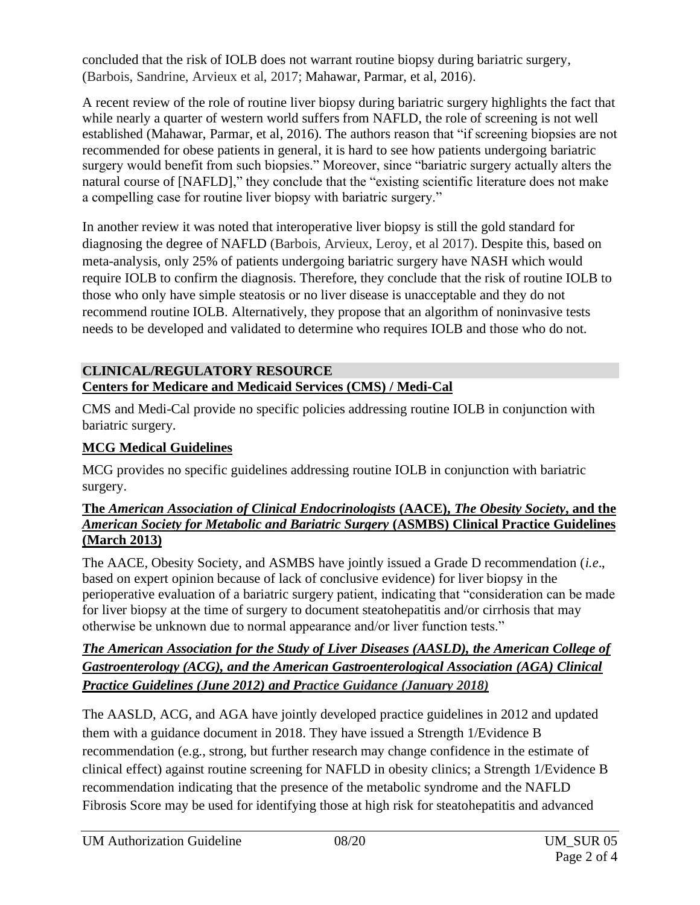concluded that the risk of IOLB does not warrant routine biopsy during bariatric surgery, (Barbois, Sandrine, Arvieux et al, 2017; Mahawar, Parmar, et al, 2016).

A recent review of the role of routine liver biopsy during bariatric surgery highlights the fact that while nearly a quarter of western world suffers from NAFLD, the role of screening is not well established (Mahawar, Parmar, et al, 2016). The authors reason that "if screening biopsies are not recommended for obese patients in general, it is hard to see how patients undergoing bariatric surgery would benefit from such biopsies." Moreover, since "bariatric surgery actually alters the natural course of [NAFLD]," they conclude that the "existing scientific literature does not make a compelling case for routine liver biopsy with bariatric surgery."

In another review it was noted that interoperative liver biopsy is still the gold standard for diagnosing the degree of NAFLD (Barbois, Arvieux, Leroy, et al 2017). Despite this, based on meta-analysis, only 25% of patients undergoing bariatric surgery have NASH which would require IOLB to confirm the diagnosis. Therefore, they conclude that the risk of routine IOLB to those who only have simple steatosis or no liver disease is unacceptable and they do not recommend routine IOLB. Alternatively, they propose that an algorithm of noninvasive tests needs to be developed and validated to determine who requires IOLB and those who do not.

## **CLINICAL/REGULATORY RESOURCE Centers for Medicare and Medicaid Services (CMS) / Medi-Cal**

CMS and Medi-Cal provide no specific policies addressing routine IOLB in conjunction with bariatric surgery.

# **MCG Medical Guidelines**

MCG provides no specific guidelines addressing routine IOLB in conjunction with bariatric surgery.

#### **The** *American Association of Clinical Endocrinologists* **(AACE),** *The Obesity Society***, and the**  *American Society for Metabolic and Bariatric Surgery* **(ASMBS) Clinical Practice Guidelines (March 2013)**

The AACE, Obesity Society, and ASMBS have jointly issued a Grade D recommendation (*i.e*., based on expert opinion because of lack of conclusive evidence) for liver biopsy in the perioperative evaluation of a bariatric surgery patient, indicating that "consideration can be made for liver biopsy at the time of surgery to document steatohepatitis and/or cirrhosis that may otherwise be unknown due to normal appearance and/or liver function tests."

## *The American Association for the Study of Liver Diseases (AASLD), the American College of Gastroenterology (ACG), and the American Gastroenterological Association (AGA) Clinical Practice Guidelines (June 2012) and Practice Guidance (January 2018)*

The AASLD, ACG, and AGA have jointly developed practice guidelines in 2012 and updated them with a guidance document in 2018. They have issued a Strength 1/Evidence B recommendation (e.g., strong, but further research may change confidence in the estimate of clinical effect) against routine screening for NAFLD in obesity clinics; a Strength 1/Evidence B recommendation indicating that the presence of the metabolic syndrome and the NAFLD Fibrosis Score may be used for identifying those at high risk for steatohepatitis and advanced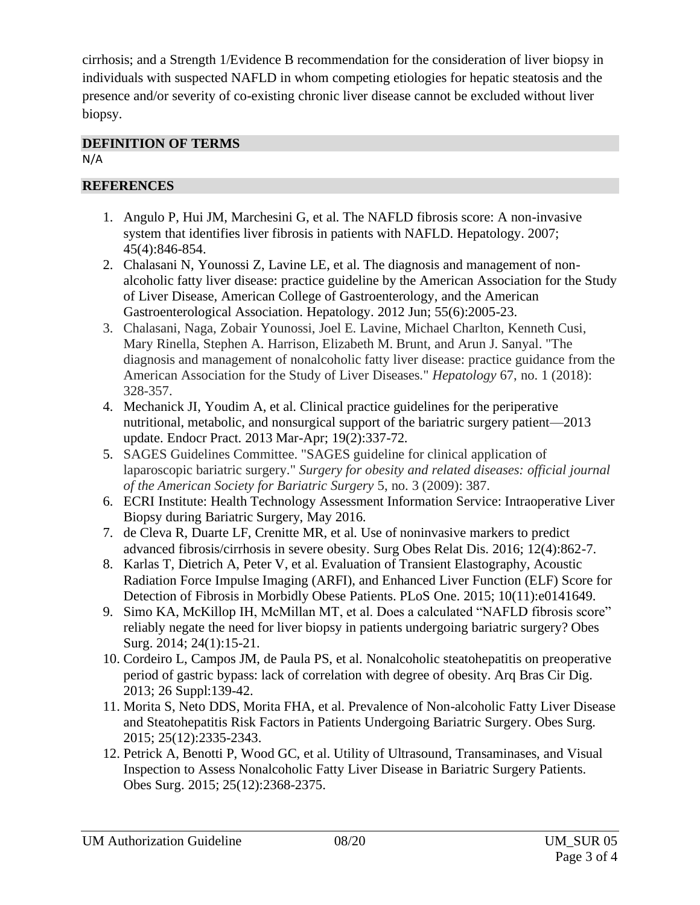cirrhosis; and a Strength 1/Evidence B recommendation for the consideration of liver biopsy in individuals with suspected NAFLD in whom competing etiologies for hepatic steatosis and the presence and/or severity of co-existing chronic liver disease cannot be excluded without liver biopsy.

# **DEFINITION OF TERMS**

N/A

## **REFERENCES**

- 1. Angulo P, Hui JM, Marchesini G, et al. The NAFLD fibrosis score: A non-invasive system that identifies liver fibrosis in patients with NAFLD. Hepatology. 2007; 45(4):846-854.
- 2. Chalasani N, Younossi Z, Lavine LE, et al. The diagnosis and management of nonalcoholic fatty liver disease: practice guideline by the American Association for the Study of Liver Disease, American College of Gastroenterology, and the American Gastroenterological Association. Hepatology. 2012 Jun; 55(6):2005-23.
- 3. Chalasani, Naga, Zobair Younossi, Joel E. Lavine, Michael Charlton, Kenneth Cusi, Mary Rinella, Stephen A. Harrison, Elizabeth M. Brunt, and Arun J. Sanyal. "The diagnosis and management of nonalcoholic fatty liver disease: practice guidance from the American Association for the Study of Liver Diseases." *Hepatology* 67, no. 1 (2018): 328-357.
- 4. Mechanick JI, Youdim A, et al. Clinical practice guidelines for the periperative nutritional, metabolic, and nonsurgical support of the bariatric surgery patient—2013 update. Endocr Pract. 2013 Mar-Apr; 19(2):337-72.
- 5. SAGES Guidelines Committee. "SAGES guideline for clinical application of laparoscopic bariatric surgery." *Surgery for obesity and related diseases: official journal of the American Society for Bariatric Surgery* 5, no. 3 (2009): 387.
- 6. ECRI Institute: Health Technology Assessment Information Service: Intraoperative Liver Biopsy during Bariatric Surgery, May 2016.
- 7. de Cleva R, Duarte LF, Crenitte MR, et al. Use of noninvasive markers to predict advanced fibrosis/cirrhosis in severe obesity. Surg Obes Relat Dis. 2016; 12(4):862-7.
- 8. Karlas T, Dietrich A, Peter V, et al. Evaluation of Transient Elastography, Acoustic Radiation Force Impulse Imaging (ARFI), and Enhanced Liver Function (ELF) Score for Detection of Fibrosis in Morbidly Obese Patients. PLoS One. 2015; 10(11):e0141649.
- 9. Simo KA, McKillop IH, McMillan MT, et al. Does a calculated "NAFLD fibrosis score" reliably negate the need for liver biopsy in patients undergoing bariatric surgery? Obes Surg. 2014; 24(1):15-21.
- 10. Cordeiro L, Campos JM, de Paula PS, et al. Nonalcoholic steatohepatitis on preoperative period of gastric bypass: lack of correlation with degree of obesity. Arq Bras Cir Dig. 2013; 26 Suppl:139-42.
- 11. Morita S, Neto DDS, Morita FHA, et al. Prevalence of Non-alcoholic Fatty Liver Disease and Steatohepatitis Risk Factors in Patients Undergoing Bariatric Surgery. Obes Surg. 2015; 25(12):2335-2343.
- 12. Petrick A, Benotti P, Wood GC, et al. Utility of Ultrasound, Transaminases, and Visual Inspection to Assess Nonalcoholic Fatty Liver Disease in Bariatric Surgery Patients. Obes Surg. 2015; 25(12):2368-2375.